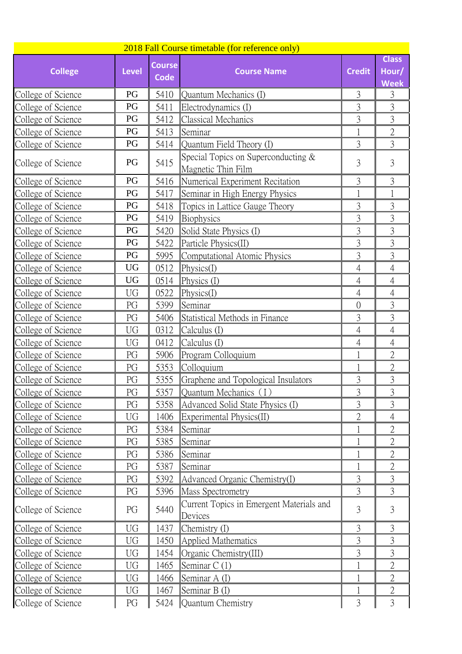|                    | 2018 Fall Course timetable (for reference only) |                              |                                                           |                |                                      |  |  |  |
|--------------------|-------------------------------------------------|------------------------------|-----------------------------------------------------------|----------------|--------------------------------------|--|--|--|
| <b>College</b>     | <b>Level</b>                                    | <b>Course</b><br><b>Code</b> | <b>Course Name</b>                                        | <b>Credit</b>  | <b>Class</b><br>Hour/<br><b>Week</b> |  |  |  |
| College of Science | PG                                              | 5410                         | Quantum Mechanics (I)                                     | 3              | 3                                    |  |  |  |
| College of Science | PG                                              | 5411                         | Electrodynamics (I)                                       | 3              | 3                                    |  |  |  |
| College of Science | PG                                              | 5412                         | Classical Mechanics                                       | 3              | 3                                    |  |  |  |
| College of Science | PG                                              | 5413                         | Seminar                                                   |                | $\overline{2}$                       |  |  |  |
| College of Science | PG                                              | 5414                         | Quantum Field Theory (I)                                  | 3              | 3                                    |  |  |  |
| College of Science | PG                                              | 5415                         | Special Topics on Superconducting &<br>Magnetic Thin Film | 3              | 3                                    |  |  |  |
| College of Science | PG                                              | 5416                         | Numerical Experiment Recitation                           | 3              | 3                                    |  |  |  |
| College of Science | PG                                              | 5417                         | Seminar in High Energy Physics                            | 1              | 1                                    |  |  |  |
| College of Science | PG                                              | 5418                         | Topics in Lattice Gauge Theory                            | 3              | 3                                    |  |  |  |
| College of Science | PG                                              | 5419                         | Biophysics                                                | 3              | 3                                    |  |  |  |
| College of Science | PG                                              | 5420                         | Solid State Physics (I)                                   | 3              | 3                                    |  |  |  |
| College of Science | PG                                              | 5422                         | Particle Physics(II)                                      | 3              | 3                                    |  |  |  |
| College of Science | PG                                              | 5995                         | Computational Atomic Physics                              | 3              | 3                                    |  |  |  |
| College of Science | <b>UG</b>                                       | 0512                         | Physics(I)                                                | 4              | $\overline{4}$                       |  |  |  |
| College of Science | <b>UG</b>                                       | 0514                         | Physics (I)                                               | $\overline{4}$ | $\overline{4}$                       |  |  |  |
| College of Science | <b>UG</b>                                       | 0522                         | Physics(I)                                                | $\overline{4}$ | $\overline{4}$                       |  |  |  |
| College of Science | PG                                              | 5399                         | Seminar                                                   | $\overline{0}$ | 3                                    |  |  |  |
| College of Science | PG                                              | 5406                         | Statistical Methods in Finance                            | 3              | 3                                    |  |  |  |
| College of Science | UG                                              | 0312                         | Calculus (I)                                              | $\overline{4}$ | $\overline{4}$                       |  |  |  |
| College of Science | UG                                              | 0412                         | Calculus (I)                                              | 4              | $\overline{4}$                       |  |  |  |
| College of Science | PG                                              | 5906                         | Program Colloquium                                        |                | $\overline{2}$                       |  |  |  |
| College of Science | PG                                              | 5353                         | Colloquium                                                |                | $\overline{2}$                       |  |  |  |
| College of Science | PG                                              | 5355                         | Graphene and Topological Insulators                       | 3              | 3                                    |  |  |  |
| College of Science | $\mathop{\mathrm{PG}}\nolimits$                 | 5357                         | Quantum Mechanics (I)                                     | 3              | $\mathfrak{Z}$                       |  |  |  |
| College of Science | PG                                              | 5358                         | Advanced Solid State Physics (I)                          | 3              | 3                                    |  |  |  |
| College of Science | UG                                              | 1406                         | Experimental Physics(II)                                  | $\overline{2}$ | $\overline{4}$                       |  |  |  |
| College of Science | PG                                              | 5384                         | Seminar                                                   |                | $\overline{2}$                       |  |  |  |
| College of Science | PG                                              | 5385                         | Seminar                                                   |                | $\overline{2}$                       |  |  |  |
| College of Science | PG                                              | 5386                         | Seminar                                                   |                | $\overline{2}$                       |  |  |  |
| College of Science | PG                                              | 5387                         | Seminar                                                   |                | $\mathfrak{2}$                       |  |  |  |
| College of Science | PG                                              | 5392                         | Advanced Organic Chemistry(I)                             | 3              | 3                                    |  |  |  |
| College of Science | PG                                              | 5396                         | <b>Mass Spectrometry</b>                                  | 3              | $\mathfrak{Z}$                       |  |  |  |
| College of Science | PG                                              | 5440                         | Current Topics in Emergent Materials and<br>Devices       | 3              | 3                                    |  |  |  |
| College of Science | UG                                              | 1437                         | Chemistry (I)                                             | 3              | $\mathfrak{Z}$                       |  |  |  |
| College of Science | UG                                              | 1450                         | <b>Applied Mathematics</b>                                | 3              | 3                                    |  |  |  |
| College of Science | UG                                              | 1454                         | Organic Chemistry(III)                                    | 3              | 3                                    |  |  |  |
| College of Science | UG                                              | 1465                         | Seminar C(1)                                              |                | $\overline{2}$                       |  |  |  |
| College of Science | UG                                              | 1466                         | Seminar A (I)                                             |                | $\overline{2}$                       |  |  |  |
| College of Science | UG                                              | 1467                         | Seminar B (I)                                             | 1              | $\overline{2}$                       |  |  |  |
| College of Science | PG                                              | 5424                         | Quantum Chemistry                                         | 3              | $\overline{3}$                       |  |  |  |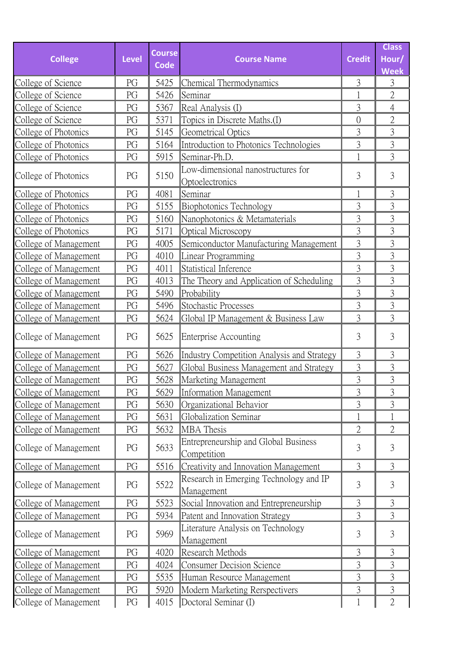| <b>College</b>        | <b>Level</b> | <b>Course</b> | <b>Course Name</b>                                    | <b>Credit</b>  | <b>Class</b><br>Hour/ |
|-----------------------|--------------|---------------|-------------------------------------------------------|----------------|-----------------------|
|                       |              | <b>Code</b>   |                                                       |                | <b>Week</b>           |
| College of Science    | PG           | 5425          | Chemical Thermodynamics                               | 3              | 3                     |
| College of Science    | PG           | 5426          | Seminar                                               |                | $\overline{2}$        |
| College of Science    | PG           | 5367          | Real Analysis (I)                                     | 3              | $\overline{4}$        |
| College of Science    | PG           | 5371          | Topics in Discrete Maths.(I)                          | $\overline{0}$ | $\overline{2}$        |
| College of Photonics  | PG           | 5145          | Geometrical Optics                                    | 3              | 3                     |
| College of Photonics  | PG           | 5164          | Introduction to Photonics Technologies                | 3              | 3                     |
| College of Photonics  | PG           | 5915          | Seminar-Ph.D.                                         | $\mathbf{1}$   | 3                     |
| College of Photonics  | PG           | 5150          | Low-dimensional nanostructures for<br>Optoelectronics | 3              | 3                     |
| College of Photonics  | PG           | 4081          | Seminar                                               | $\mathbf{1}$   | 3                     |
| College of Photonics  | PG           | 5155          | Biophotonics Technology                               | 3              | 3                     |
| College of Photonics  | PG           | 5160          | Nanophotonics & Metamaterials                         | 3              | 3                     |
| College of Photonics  | PG           | 5171          | Optical Microscopy                                    | 3              | 3                     |
| College of Management | PG           | 4005          | Semiconductor Manufacturing Management                | 3              | 3                     |
| College of Management | PG           | 4010          | Linear Programming                                    | 3              | 3                     |
| College of Management | PG           | 4011          | Statistical Inference                                 | 3              | 3                     |
| College of Management | PG           | 4013          | The Theory and Application of Scheduling              | 3              | 3                     |
| College of Management | PG           | 5490          | Probability                                           | 3              | 3                     |
| College of Management | PG           | 5496          | <b>Stochastic Processes</b>                           | 3              | 3                     |
| College of Management | PG           | 5624          | Global IP Management & Business Law                   | 3              | 3                     |
| College of Management | PG           | 5625          | <b>Enterprise Accounting</b>                          | 3              | 3                     |
| College of Management | PG           | 5626          | Industry Competition Analysis and Strategy            | 3              | 3                     |
| College of Management | PG           | 5627          | Global Business Management and Strategy               | 3              | 3                     |
| College of Management | PG           | 5628          | <b>Marketing Management</b>                           | 3              | 3                     |
| College of Management | PG           | 5629          | Information Management                                | 3              | $\mathfrak{Z}$        |
| College of Management | PG           | 5630          | Organizational Behavior                               | 3              | 3                     |
| College of Management | PG           | 5631          | Globalization Seminar                                 | 1              | 1                     |
| College of Management | PG           | 5632          | <b>MBA</b> Thesis                                     | $\overline{2}$ | $\overline{2}$        |
| College of Management | PG           | 5633          | Entrepreneurship and Global Business<br>Competition   | 3              | $\overline{3}$        |
| College of Management | PG           | 5516          | Creativity and Innovation Management                  | 3              | $\mathfrak{Z}$        |
| College of Management | PG           | 5522          | Research in Emerging Technology and IP<br>Management  | 3              | 3                     |
| College of Management | PG           | 5523          | Social Innovation and Entrepreneurship                | 3              | 3                     |
| College of Management | PG           | 5934          | Patent and Innovation Strategy                        | 3              | $\overline{3}$        |
| College of Management | PG           | 5969          | Literature Analysis on Technology<br>Management       | 3              | 3                     |
| College of Management | PG           | 4020          | Research Methods                                      | 3              | 3                     |
| College of Management | PG           | 4024          | <b>Consumer Decision Science</b>                      | 3              | $\overline{3}$        |
| College of Management | PG           | 5535          | Human Resource Management                             | 3              | 3                     |
| College of Management | PG           | 5920          | Modern Marketing Rerspectivers                        | 3              | 3                     |
| College of Management | PG           | 4015          | Doctoral Seminar (I)                                  | 1              | $\overline{2}$        |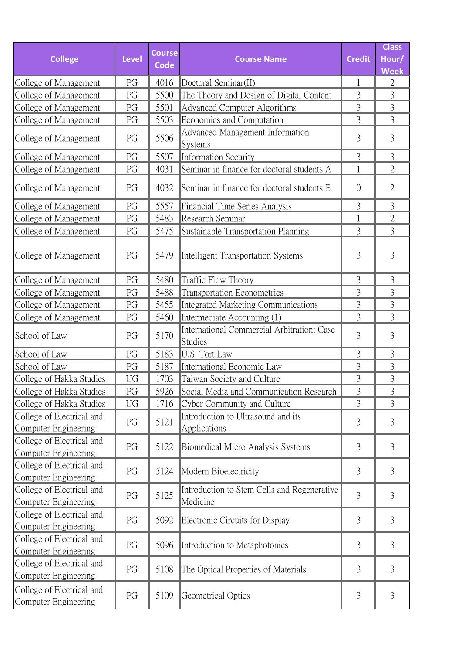| <b>College</b>                                    | <b>Level</b>                    | <b>Course</b><br><b>Code</b> | <b>Course Name</b>                                      | <b>Credit</b>  | <b>Class</b><br>Hour/ |
|---------------------------------------------------|---------------------------------|------------------------------|---------------------------------------------------------|----------------|-----------------------|
|                                                   |                                 |                              |                                                         |                | <b>Week</b>           |
| College of Management                             | PG                              | 4016                         | Doctoral Seminar(II)                                    | 1              | 2                     |
| College of Management                             | PG                              | 5500                         | The Theory and Design of Digital Content                | 3              | 3                     |
| College of Management                             | PG                              | 5501                         | Advanced Computer Algorithms                            | 3              | 3                     |
| College of Management                             | PG                              | 5503                         | Economics and Computation                               | 3              | 3                     |
| College of Management                             | PG                              | 5506                         | Advanced Management Information<br>Systems              | 3              | 3                     |
| College of Management                             | PG                              | 5507                         | Information Security                                    | 3              | 3                     |
| College of Management                             | PG                              | 4031                         | Seminar in finance for doctoral students A              |                | $\overline{2}$        |
| College of Management                             | PG                              | 4032                         | Seminar in finance for doctoral students B              | $\overline{0}$ | 2                     |
| College of Management                             | PG                              | 5557                         | Financial Time Series Analysis                          | 3              | 3                     |
| College of Management                             | PG                              | 5483                         | Research Seminar                                        |                | $\overline{2}$        |
| College of Management                             | PG                              | 5475                         | Sustainable Transportation Planning                     | 3              | 3                     |
| College of Management                             | PG                              | 5479                         | Intelligent Transportation Systems                      | 3              | 3                     |
| College of Management                             | PG                              | 5480                         | Traffic Flow Theory                                     | 3              | 3                     |
| College of Management                             | PG                              | 5488                         | <b>Transportation Econometrics</b>                      | 3              | 3                     |
| College of Management                             | PG                              | 5455                         | Integrated Marketing Communications                     | $\overline{3}$ | 3                     |
| College of Management                             | PG                              | 5460                         | Intermediate Accounting (1)                             | 3              | 3                     |
| School of Law                                     | PG                              | 5170                         | International Commercial Arbitration: Case<br>Studies   | 3              | 3                     |
| School of Law                                     | PG                              | 5183                         | <b>U.S. Tort Law</b>                                    | 3              | 3                     |
| School of Law                                     | PG                              | 5187                         | International Economic Law                              | 3              | 3                     |
| College of Hakka Studies                          | UG                              | 1703                         | Taiwan Society and Culture                              | 3              | 3                     |
| College of Hakka Studies                          | $\mathop{\mathrm{PG}}\nolimits$ |                              | 5926 Social Media and Communication Research            | 3              | 3                     |
| College of Hakka Studies                          | UG                              | 1716                         | Cyber Community and Culture                             | 3              | 3                     |
| College of Electrical and<br>Computer Engineering | PG                              | 5121                         | Introduction to Ultrasound and its<br>Applications      | 3              | 3                     |
| College of Electrical and<br>Computer Engineering | PG                              | 5122                         | Biomedical Micro Analysis Systems                       | 3              | 3                     |
| College of Electrical and<br>Computer Engineering | PG                              | 5124                         | Modern Bioelectricity                                   | 3              | 3                     |
| College of Electrical and<br>Computer Engineering | PG                              | 5125                         | Introduction to Stem Cells and Regenerative<br>Medicine | 3              | 3                     |
| College of Electrical and<br>Computer Engineering | PG                              | 5092                         | Electronic Circuits for Display                         | 3              | 3                     |
| College of Electrical and<br>Computer Engineering | PG                              | 5096                         | Introduction to Metaphotonics                           | 3              | 3                     |
| College of Electrical and<br>Computer Engineering | PG                              | 5108                         | The Optical Properties of Materials                     | 3              | 3                     |
| College of Electrical and<br>Computer Engineering | PG                              | 5109                         | Geometrical Optics                                      | 3              | 3                     |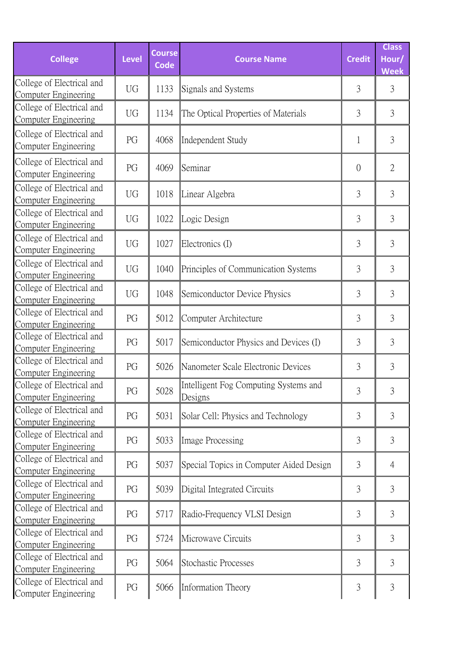| <b>College</b>                                    | <b>Level</b> | <b>Course</b><br><b>Code</b> | <b>Course Name</b>                               | <b>Credit</b>  | <b>Class</b><br>Hour/<br><b>Week</b> |
|---------------------------------------------------|--------------|------------------------------|--------------------------------------------------|----------------|--------------------------------------|
| College of Electrical and<br>Computer Engineering | <b>UG</b>    | 1133                         | Signals and Systems                              | 3              | 3                                    |
| College of Electrical and<br>Computer Engineering | UG           | 1134                         | The Optical Properties of Materials              | 3              | 3                                    |
| College of Electrical and<br>Computer Engineering | PG           | 4068                         | Independent Study                                | 1              | $\mathfrak{Z}$                       |
| College of Electrical and<br>Computer Engineering | PG           | 4069                         | Seminar                                          | $\overline{0}$ | $\mathfrak{2}$                       |
| College of Electrical and<br>Computer Engineering | <b>UG</b>    | 1018                         | Linear Algebra                                   | 3              | 3                                    |
| College of Electrical and<br>Computer Engineering | <b>UG</b>    | 1022                         | Logic Design                                     | 3              | 3                                    |
| College of Electrical and<br>Computer Engineering | <b>UG</b>    | 1027                         | Electronics (I)                                  | 3              | 3                                    |
| College of Electrical and<br>Computer Engineering | <b>UG</b>    | 1040                         | Principles of Communication Systems              | 3              | 3                                    |
| College of Electrical and<br>Computer Engineering | <b>UG</b>    | 1048                         | Semiconductor Device Physics                     | 3              | 3                                    |
| College of Electrical and<br>Computer Engineering | PG           | 5012                         | Computer Architecture                            | 3              | 3                                    |
| College of Electrical and<br>Computer Engineering | PG           | 5017                         | Semiconductor Physics and Devices (I)            | 3              | 3                                    |
| College of Electrical and<br>Computer Engineering | PG           | 5026                         | Nanometer Scale Electronic Devices               | 3              | 3                                    |
| College of Electrical and<br>Computer Engineering | PG           | 5028                         | Intelligent Fog Computing Systems and<br>Designs | $\mathfrak{Z}$ | 3                                    |
| College of Electrical and<br>Computer Engineering | PG           | 5031                         | Solar Cell: Physics and Technology               | 3              | 3                                    |
| College of Electrical and<br>Computer Engineering | PG           | 5033                         | Image Processing                                 | 3              | 3                                    |
| College of Electrical and<br>Computer Engineering | PG           | 5037                         | Special Topics in Computer Aided Design          | 3              | $\overline{4}$                       |
| College of Electrical and<br>Computer Engineering | PG           | 5039                         | Digital Integrated Circuits                      | 3              | 3                                    |
| College of Electrical and<br>Computer Engineering | PG           | 5717                         | Radio-Frequency VLSI Design                      | 3              | 3                                    |
| College of Electrical and<br>Computer Engineering | PG           | 5724                         | Microwave Circuits                               | 3              | 3                                    |
| College of Electrical and<br>Computer Engineering | PG           | 5064                         | Stochastic Processes                             | 3              | 3                                    |
| College of Electrical and<br>Computer Engineering | PG           | 5066                         | Information Theory                               | 3              | 3                                    |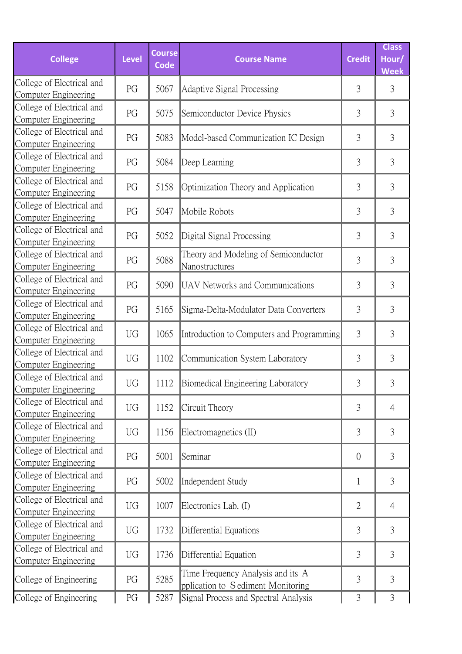| <b>College</b>                                    | <b>Level</b> | <b>Course</b><br><b>Code</b> | <b>Course Name</b>                                                     | <b>Credit</b>  | <b>Class</b><br>Hour/<br><b>Week</b> |
|---------------------------------------------------|--------------|------------------------------|------------------------------------------------------------------------|----------------|--------------------------------------|
| College of Electrical and<br>Computer Engineering | PG           | 5067                         | Adaptive Signal Processing                                             | 3              | 3                                    |
| College of Electrical and<br>Computer Engineering | PG           | 5075                         | Semiconductor Device Physics                                           | 3              | 3                                    |
| College of Electrical and<br>Computer Engineering | PG           | 5083                         | Model-based Communication IC Design                                    | 3              | 3                                    |
| College of Electrical and<br>Computer Engineering | PG           | 5084                         | Deep Learning                                                          | 3              | 3                                    |
| College of Electrical and<br>Computer Engineering | PG           | 5158                         | Optimization Theory and Application                                    | 3              | 3                                    |
| College of Electrical and<br>Computer Engineering | PG           | 5047                         | Mobile Robots                                                          | 3              | 3                                    |
| College of Electrical and<br>Computer Engineering | PG           | 5052                         | Digital Signal Processing                                              | 3              | 3                                    |
| College of Electrical and<br>Computer Engineering | PG           | 5088                         | Theory and Modeling of Semiconductor<br>Nanostructures                 | 3              | 3                                    |
| College of Electrical and<br>Computer Engineering | PG           | 5090                         | <b>UAV Networks and Communications</b>                                 | 3              | 3                                    |
| College of Electrical and<br>Computer Engineering | PG           | 5165                         | Sigma-Delta-Modulator Data Converters                                  | 3              | 3                                    |
| College of Electrical and<br>Computer Engineering | <b>UG</b>    | 1065                         | Introduction to Computers and Programming                              | 3              | 3                                    |
| College of Electrical and<br>Computer Engineering | <b>UG</b>    | 1102                         | Communication System Laboratory                                        | 3              | 3                                    |
| College of Electrical and<br>Computer Engineering | <b>UG</b>    | 1112                         | Biomedical Engineering Laboratory                                      | 3              | 3                                    |
| College of Electrical and<br>Computer Engineering | UG           | 1152                         | Circuit Theory                                                         | 3              | $\overline{4}$                       |
| College of Electrical and<br>Computer Engineering | <b>UG</b>    | 1156                         | Electromagnetics (II)                                                  | 3              | 3                                    |
| College of Electrical and<br>Computer Engineering | PG           | 5001                         | Seminar                                                                | $\overline{0}$ | 3                                    |
| College of Electrical and<br>Computer Engineering | PG           | 5002                         | Independent Study                                                      | 1              | 3                                    |
| College of Electrical and<br>Computer Engineering | UG           | 1007                         | Electronics Lab. (I)                                                   | $\mathfrak{2}$ | $\overline{4}$                       |
| College of Electrical and<br>Computer Engineering | UG           | 1732                         | Differential Equations                                                 | 3              | 3                                    |
| College of Electrical and<br>Computer Engineering | UG           | 1736                         | Differential Equation                                                  | 3              | 3                                    |
| College of Engineering                            | PG           | 5285                         | Time Frequency Analysis and its A<br>pplication to Sediment Monitoring | 3              | 3                                    |
| College of Engineering                            | PG           | 5287                         | Signal Process and Spectral Analysis                                   | 3              | 3                                    |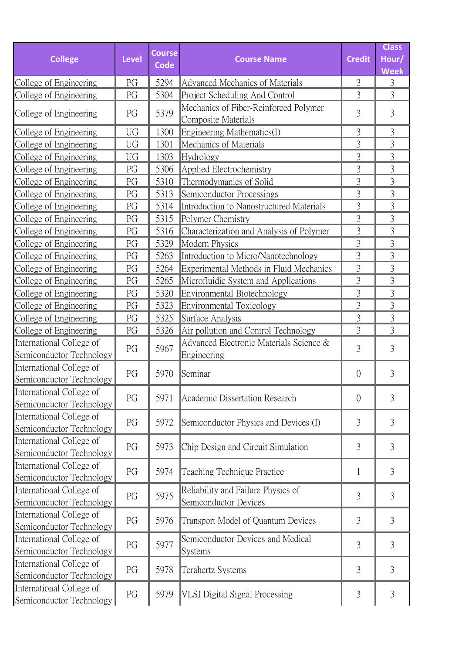| <b>College</b>                                       | <b>Level</b> | <b>Course</b><br><b>Code</b> | <b>Course Name</b>                                           | <b>Credit</b>  | <b>Class</b><br>Hour/ |
|------------------------------------------------------|--------------|------------------------------|--------------------------------------------------------------|----------------|-----------------------|
| College of Engineering                               | PG           | 5294                         | Advanced Mechanics of Materials                              | $\overline{3}$ | <b>Week</b><br>3      |
| College of Engineering                               | PG           | 5304                         | Project Scheduling And Control                               | 3              | 3                     |
| College of Engineering                               | PG           | 5379                         | Mechanics of Fiber-Reinforced Polymer<br>Composite Materials | 3              | 3                     |
| College of Engineering                               | UG           | 1300                         | Engineering Mathematics(I)                                   | 3              | 3                     |
| College of Engineering                               | UG           | 1301                         | Mechanics of Materials                                       | $\overline{3}$ | 3                     |
| College of Engineering                               | UG           | 1303                         | Hydrology                                                    | 3              | 3                     |
| College of Engineering                               | PG           | 5306                         | Applied Electrochemistry                                     | 3              | 3                     |
| College of Engineering                               | PG           | 5310                         | Thermodymanics of Solid                                      | 3              | 3                     |
| College of Engineering                               | PG           | 5313                         | Semiconductor Processings                                    | 3              | 3                     |
| College of Engineering                               | PG           | 5314                         | Introduction to Nanostructured Materials                     | $\overline{3}$ | 3                     |
| College of Engineering                               | PG           | 5315                         | Polymer Chemistry                                            | $\overline{3}$ | 3                     |
| College of Engineering                               | PG           | 5316                         | Characterization and Analysis of Polymer                     | 3              | 3                     |
| College of Engineering                               | PG           | 5329                         | Modern Physics                                               | $\overline{3}$ | 3                     |
| College of Engineering                               | PG           | 5263                         | Introduction to Micro/Nanotechnology                         | $\mathfrak{Z}$ | 3                     |
| College of Engineering                               | PG           | 5264                         | Experimental Methods in Fluid Mechanics                      | 3              | 3                     |
| College of Engineering                               | PG           | 5265                         | Microfluidic System and Applications                         | $\overline{3}$ | 3                     |
| College of Engineering                               | PG           | 5320                         | Environmental Biotechnology                                  | 3              | 3                     |
| College of Engineering                               | PG           | 5323                         | Environmental Toxicology                                     | $\overline{3}$ | 3                     |
| College of Engineering                               | PG           | 5325                         | Surface Analysis                                             | 3              | 3                     |
| College of Engineering                               | PG           | 5326                         | Air pollution and Control Technology                         | $\overline{3}$ | 3                     |
| International College of<br>Semiconductor Technology | PG           | 5967                         | Advanced Electronic Materials Science &<br>Engineering       | 3              | 3                     |
| International College of<br>Semiconductor Technology | PG           | 5970                         | Seminar                                                      | $\overline{0}$ | 3                     |
| International College of<br>Semiconductor Technology | PG           | 5971                         | Academic Dissertation Research                               | $\overline{0}$ | 3                     |
| International College of<br>Semiconductor Technology | PG           | 5972                         | Semiconductor Physics and Devices (I)                        | $\mathfrak{Z}$ | 3                     |
| International College of<br>Semiconductor Technology | PG           | 5973                         | Chip Design and Circuit Simulation                           | 3              | 3                     |
| International College of<br>Semiconductor Technology | PG           | 5974                         | Teaching Technique Practice                                  | 1              | 3                     |
| International College of<br>Semiconductor Technology | PG           | 5975                         | Reliability and Failure Physics of<br>Semiconductor Devices  | 3              | 3                     |
| International College of<br>Semiconductor Technology | PG           | 5976                         | Transport Model of Quantum Devices                           | 3              | $\mathfrak{Z}$        |
| International College of<br>Semiconductor Technology | PG           | 5977                         | Semiconductor Devices and Medical<br>Systems                 | 3              | 3                     |
| International College of<br>Semiconductor Technology | PG           | 5978                         | Terahertz Systems                                            | 3              | 3                     |
| International College of<br>Semiconductor Technology | PG           | 5979                         | VLSI Digital Signal Processing                               | $\mathfrak{Z}$ | $\mathfrak{Z}$        |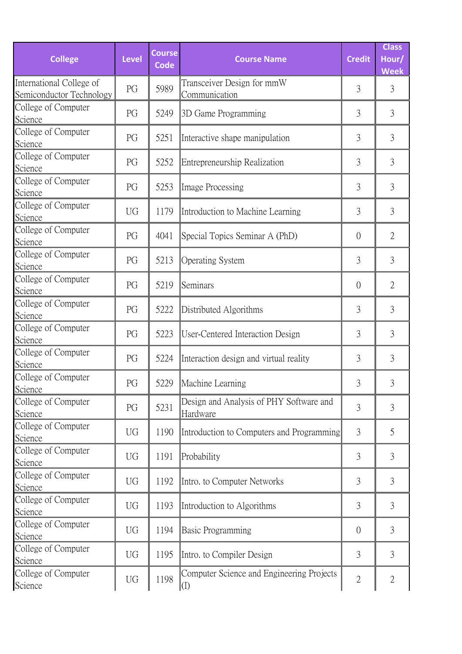| <b>College</b>                                       | <b>Level</b> | <b>Course</b><br><b>Code</b> | <b>Course Name</b>                                                | <b>Credit</b>  | <b>Class</b><br>Hour/<br><b>Week</b> |
|------------------------------------------------------|--------------|------------------------------|-------------------------------------------------------------------|----------------|--------------------------------------|
| International College of<br>Semiconductor Technology | PG           | 5989                         | Transceiver Design for mmW<br>Communication                       | 3              | 3                                    |
| College of Computer<br>Science                       | PG           | 5249                         | 3D Game Programming                                               | 3              | 3                                    |
| College of Computer<br>Science                       | PG           | 5251                         | Interactive shape manipulation                                    | 3              | 3                                    |
| College of Computer<br>Science                       | PG           | 5252                         | Entrepreneurship Realization                                      | 3              | 3                                    |
| College of Computer<br>Science                       | PG           | 5253                         | Image Processing                                                  | 3              | 3                                    |
| College of Computer<br>Science                       | <b>UG</b>    | 1179                         | Introduction to Machine Learning                                  | 3              | 3                                    |
| College of Computer<br>Science                       | PG           | 4041                         | Special Topics Seminar A (PhD)                                    | $\theta$       | $\overline{2}$                       |
| College of Computer<br>Science                       | PG           | 5213                         | <b>Operating System</b>                                           | 3              | 3                                    |
| College of Computer<br>Science                       | PG           | 5219                         | Seminars                                                          | $\overline{0}$ | $\overline{2}$                       |
| College of Computer<br>Science                       | PG           | 5222                         | Distributed Algorithms                                            | 3              | 3                                    |
| College of Computer<br>Science                       | PG           | 5223                         | User-Centered Interaction Design                                  | 3              | 3                                    |
| College of Computer<br>Science                       | PG           | 5224                         | Interaction design and virtual reality                            | 3              | 3                                    |
| College of Computer<br>Science                       | PG           | 5229                         | Machine Learning                                                  | 3              | 3                                    |
| College of Computer<br>Science                       | PG           | 5231                         | Design and Analysis of PHY Software and<br>Hardware               | 3              | 3                                    |
| College of Computer<br>Science                       | <b>UG</b>    | 1190                         | Introduction to Computers and Programming                         | 3              | 5                                    |
| College of Computer<br>Science                       | <b>UG</b>    | 1191                         | Probability                                                       | 3              | 3                                    |
| College of Computer<br>Science                       | <b>UG</b>    | 1192                         | Intro. to Computer Networks                                       | 3              | 3                                    |
| College of Computer<br>Science                       | UG           | 1193                         | Introduction to Algorithms                                        | 3              | 3                                    |
| College of Computer<br>Science                       | UG           | 1194                         | <b>Basic Programming</b>                                          | $\overline{0}$ | 3                                    |
| College of Computer<br>Science                       | <b>UG</b>    | 1195                         | Intro. to Compiler Design                                         | 3              | 3                                    |
| College of Computer<br>Science                       | UG           | 1198                         | Computer Science and Engineering Projects<br>$\vert\!\vert\rm(I)$ | $\overline{2}$ | $\overline{2}$                       |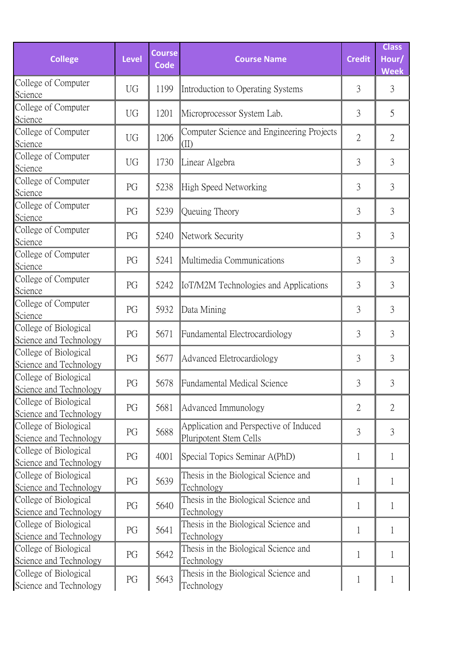| <b>College</b>                                  | <b>Level</b> | <b>Course</b><br><b>Code</b> | <b>Course Name</b>                                               | <b>Credit</b>  | <b>Class</b><br>Hour/<br><b>Week</b> |
|-------------------------------------------------|--------------|------------------------------|------------------------------------------------------------------|----------------|--------------------------------------|
| College of Computer<br>Science                  | <b>UG</b>    | 1199                         | Introduction to Operating Systems                                | 3              | 3                                    |
| College of Computer<br>Science                  | UG           | 1201                         | Microprocessor System Lab.                                       | 3              | 5                                    |
| College of Computer<br>Science                  | <b>UG</b>    | 1206                         | Computer Science and Engineering Projects<br>(II)                | $\overline{2}$ | $\overline{2}$                       |
| College of Computer<br>Science                  | <b>UG</b>    | 1730                         | Linear Algebra                                                   | 3              | 3                                    |
| College of Computer<br>Science                  | PG           | 5238                         | High Speed Networking                                            | 3              | 3                                    |
| College of Computer<br>Science                  | PG           | 5239                         | Queuing Theory                                                   | 3              | 3                                    |
| College of Computer<br>Science                  | PG           | 5240                         | Network Security                                                 | 3              | 3                                    |
| College of Computer<br>Science                  | PG           | 5241                         | Multimedia Communications                                        | 3              | 3                                    |
| College of Computer<br>Science                  | PG           | 5242                         | IoT/M2M Technologies and Applications                            | 3              | 3                                    |
| College of Computer<br>Science                  | PG           | 5932                         | Data Mining                                                      | 3              | 3                                    |
| College of Biological<br>Science and Technology | PG           | 5671                         | Fundamental Electrocardiology                                    | 3              | 3                                    |
| College of Biological<br>Science and Technology | PG           | 5677                         | Advanced Eletrocardiology                                        | 3              | 3                                    |
| College of Biological<br>Science and Technology | PG           | 5678                         | Fundamental Medical Science                                      | 3              | 3                                    |
| College of Biological<br>Science and Technology | PG           | 5681                         | Advanced Immunology                                              | $\overline{2}$ | $\overline{2}$                       |
| College of Biological<br>Science and Technology | PG           | 5688                         | Application and Perspective of Induced<br>Pluripotent Stem Cells | 3              | 3                                    |
| College of Biological<br>Science and Technology | PG           | 4001                         | Special Topics Seminar A(PhD)                                    | 1              | $\mathbf{1}$                         |
| College of Biological<br>Science and Technology | PG           | 5639                         | Thesis in the Biological Science and<br>Technology               | 1              | $\mathbf{1}$                         |
| College of Biological<br>Science and Technology | PG           | 5640                         | Thesis in the Biological Science and<br>Technology               | 1              | 1                                    |
| College of Biological<br>Science and Technology | PG           | 5641                         | Thesis in the Biological Science and<br>Technology               | 1              | $\mathbf{1}$                         |
| College of Biological<br>Science and Technology | PG           | 5642                         | Thesis in the Biological Science and<br>Technology               | 1              | $\mathbf{1}$                         |
| College of Biological<br>Science and Technology | PG           | 5643                         | Thesis in the Biological Science and<br>Technology               | 1              | 1                                    |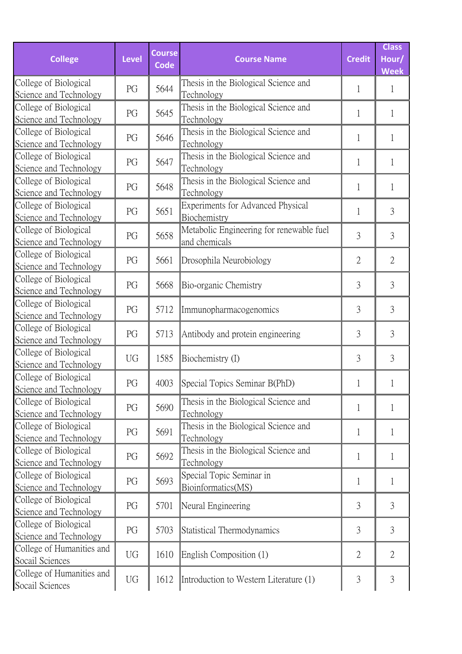| <b>College</b>                                  | <b>Level</b>     | <b>Course</b><br><b>Code</b> | <b>Course Name</b>                                        | <b>Credit</b>  | <b>Class</b><br>Hour/<br><b>Week</b> |
|-------------------------------------------------|------------------|------------------------------|-----------------------------------------------------------|----------------|--------------------------------------|
| College of Biological<br>Science and Technology | PG               | 5644                         | Thesis in the Biological Science and<br>Technology        | 1              | $\mathbf{1}$                         |
| College of Biological<br>Science and Technology | PG               | 5645                         | Thesis in the Biological Science and<br>Technology        | 1              | 1                                    |
| College of Biological<br>Science and Technology | PG               | 5646                         | Thesis in the Biological Science and<br>Technology        | 1              | $\mathbf{1}$                         |
| College of Biological<br>Science and Technology | PG               | 5647                         | Thesis in the Biological Science and<br>Technology        | 1              | $\mathbf{1}$                         |
| College of Biological<br>Science and Technology | PG               | 5648                         | Thesis in the Biological Science and<br>Technology        | 1              | $\mathbf{1}$                         |
| College of Biological<br>Science and Technology | PG               | 5651                         | Experiments for Advanced Physical<br>Biochemistry         | 1              | 3                                    |
| College of Biological<br>Science and Technology | PG               | 5658                         | Metabolic Engineering for renewable fuel<br>and chemicals | 3              | 3                                    |
| College of Biological<br>Science and Technology | PG               | 5661                         | Drosophila Neurobiology                                   | $\overline{2}$ | $\overline{2}$                       |
| College of Biological<br>Science and Technology | PG               | 5668                         | Bio-organic Chemistry                                     | 3              | 3                                    |
| College of Biological<br>Science and Technology | PG               | 5712                         | Immunopharmacogenomics                                    | 3              | 3                                    |
| College of Biological<br>Science and Technology | PG               | 5713                         | Antibody and protein engineering                          | 3              | 3                                    |
| College of Biological<br>Science and Technology | <b>UG</b>        | 1585                         | Biochemistry (I)                                          | 3              | 3                                    |
| College of Biological<br>Science and Technology | PG               | 4003                         | Special Topics Seminar B(PhD)                             |                | 1                                    |
| College of Biological<br>Science and Technology | PG               | 5690                         | Thesis in the Biological Science and<br>Technology        | 1              | 1                                    |
| College of Biological<br>Science and Technology | PG               | 5691                         | Thesis in the Biological Science and<br>Technology        | 1              | $\mathbf{1}$                         |
| College of Biological<br>Science and Technology | PG               | 5692                         | Thesis in the Biological Science and<br>Technology        | 1              | 1                                    |
| College of Biological<br>Science and Technology | PG               | 5693                         | Special Topic Seminar in<br>Bioinformatics(MS)            | 1              | $\mathbf{1}$                         |
| College of Biological<br>Science and Technology | PG               | 5701                         | Neural Engineering                                        | 3              | 3                                    |
| College of Biological<br>Science and Technology | PG               | 5703                         | Statistical Thermodynamics                                | 3              | 3                                    |
| College of Humanities and<br>Socail Sciences    | UG               | 1610                         | English Composition (1)                                   | $\overline{2}$ | $\overline{2}$                       |
| College of Humanities and<br>Socail Sciences    | ${\rm U}{\rm G}$ | 1612                         | Introduction to Western Literature (1)                    | 3              | 3                                    |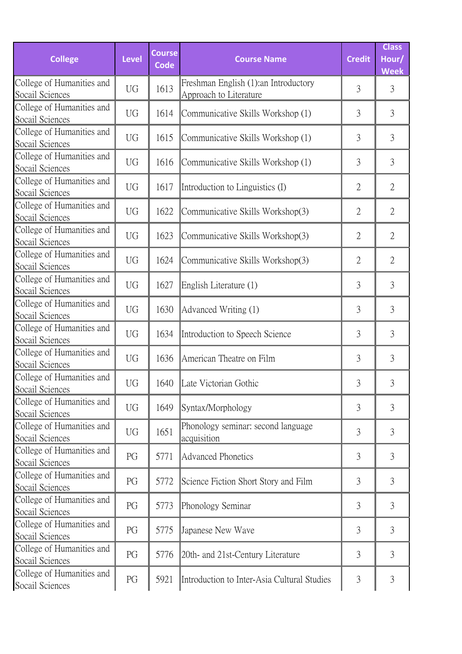| <b>College</b>                               | <b>Level</b> | <b>Course</b><br><b>Code</b> | <b>Course Name</b>                                             | <b>Credit</b>  | <b>Class</b><br>Hour/<br><b>Week</b> |
|----------------------------------------------|--------------|------------------------------|----------------------------------------------------------------|----------------|--------------------------------------|
| College of Humanities and<br>Socail Sciences | <b>UG</b>    | 1613                         | Freshman English (1):an Introductory<br>Approach to Literature | 3              | 3                                    |
| College of Humanities and<br>Socail Sciences | <b>UG</b>    | 1614                         | Communicative Skills Workshop (1)                              | 3              | 3                                    |
| College of Humanities and<br>Socail Sciences | UG           | 1615                         | Communicative Skills Workshop (1)                              | 3              | 3                                    |
| College of Humanities and<br>Socail Sciences | <b>UG</b>    | 1616                         | Communicative Skills Workshop (1)                              | 3              | 3                                    |
| College of Humanities and<br>Socail Sciences | <b>UG</b>    | 1617                         | Introduction to Linguistics (I)                                | $\overline{2}$ | $\overline{2}$                       |
| College of Humanities and<br>Socail Sciences | <b>UG</b>    | 1622                         | Communicative Skills Workshop(3)                               | $\mathfrak{2}$ | $\overline{2}$                       |
| College of Humanities and<br>Socail Sciences | <b>UG</b>    | 1623                         | Communicative Skills Workshop(3)                               | $\overline{2}$ | $\overline{2}$                       |
| College of Humanities and<br>Socail Sciences | <b>UG</b>    | 1624                         | Communicative Skills Workshop(3)                               | $\overline{2}$ | $\overline{2}$                       |
| College of Humanities and<br>Socail Sciences | <b>UG</b>    | 1627                         | English Literature (1)                                         | 3              | 3                                    |
| College of Humanities and<br>Socail Sciences | <b>UG</b>    | 1630                         | Advanced Writing (1)                                           | 3              | 3                                    |
| College of Humanities and<br>Socail Sciences | <b>UG</b>    | 1634                         | Introduction to Speech Science                                 | 3              | 3                                    |
| College of Humanities and<br>Socail Sciences | <b>UG</b>    | 1636                         | American Theatre on Film                                       | 3              | 3                                    |
| College of Humanities and<br>Socail Sciences | <b>UG</b>    | 1640                         | Late Victorian Gothic                                          | 3              | 3                                    |
| College of Humanities and<br>Socail Sciences | UG           | 1649                         | Syntax/Morphology                                              | 3              | 3                                    |
| College of Humanities and<br>Socail Sciences | UG           | 1651                         | Phonology seminar: second language<br>acquisition              | 3              | 3                                    |
| College of Humanities and<br>Socail Sciences | PG           | 5771                         | <b>Advanced Phonetics</b>                                      | 3              | 3                                    |
| College of Humanities and<br>Socail Sciences | PG           | 5772                         | Science Fiction Short Story and Film                           | 3              | 3                                    |
| College of Humanities and<br>Socail Sciences | PG           | 5773                         | Phonology Seminar                                              | 3              | 3                                    |
| College of Humanities and<br>Socail Sciences | PG           | 5775                         | Japanese New Wave                                              | 3              | 3                                    |
| College of Humanities and<br>Socail Sciences | PG           | 5776                         | 20th- and 21st-Century Literature                              | 3              | 3                                    |
| College of Humanities and<br>Socail Sciences | PG           | 5921                         | Introduction to Inter-Asia Cultural Studies                    | 3              | 3                                    |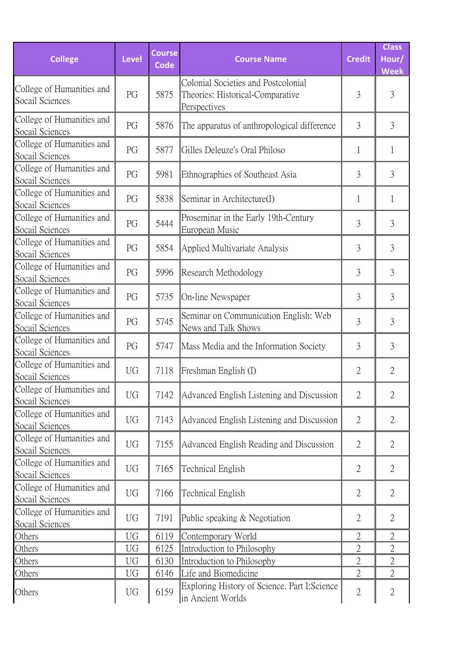| <b>College</b>                                    | <b>Level</b> | <b>Course</b><br><b>Code</b> | <b>Course Name</b>                                                                      | <b>Credit</b>  | <b>Class</b><br>Hour/<br><b>Week</b> |
|---------------------------------------------------|--------------|------------------------------|-----------------------------------------------------------------------------------------|----------------|--------------------------------------|
| College of Humanities and<br>Socail Sciences      | PG           | 5875                         | Colonial Societies and Postcolonial<br>Theories: Historical-Comparative<br>Perspectives | 3              | 3                                    |
| College of Humanities and<br>Socail Sciences      | PG           | 5876                         | The apparatus of anthropological difference                                             | 3              | 3                                    |
| College of Humanities and<br>Socail Sciences      | PG           | 5877                         | Gilles Deleuze's Oral Philoso                                                           | 1              | $\mathbf{1}$                         |
| College of Humanities and<br>Socail Sciences      | PG           | 5981                         | Ethnographies of Southeast Asia                                                         | 3              | 3                                    |
| College of Humanities and<br>Socail Sciences      | PG           | 5838                         | Seminar in Architecture(I)                                                              | 1              | $\mathbf{1}$                         |
| College of Humanities and<br>Socail Sciences      | PG           | 5444                         | Proseminar in the Early 19th-Century<br>European Music                                  | 3              | 3                                    |
| College of Humanities and<br>Socail Sciences      | PG           | 5854                         | Applied Multivariate Analysis                                                           | 3              | 3                                    |
| College of Humanities and<br>Socail Sciences      | PG           | 5996                         | Research Methodology                                                                    | 3              | 3                                    |
| College of Humanities and<br>Socail Sciences      | PG           | 5735                         | On-line Newspaper                                                                       | 3              | 3                                    |
| College of Humanities and<br>Socail Sciences      | PG           | 5745                         | Seminar on Communication English: Web<br>News and Talk Shows                            | 3              | 3                                    |
| College of Humanities and<br>Socail Sciences      | PG           | 5747                         | Mass Media and the Information Society                                                  | 3              | 3                                    |
| College of Humanities and<br>Socail Sciences      | UG           | 7118                         | Freshman English (I)                                                                    | $\overline{2}$ | $\overline{2}$                       |
| I<br>College of Humanities and<br>Socail Sciences | UG           | 7142                         | Advanced English Listening and Discussion                                               | $\overline{2}$ | $\overline{2}$                       |
| College of Humanities and<br>Socail Sciences      | <b>UG</b>    | 7143                         | Advanced English Listening and Discussion                                               | $\overline{2}$ | $\overline{2}$                       |
| College of Humanities and<br>Socail Sciences      | UG           | 7155                         | Advanced English Reading and Discussion                                                 | $\overline{2}$ | $\overline{2}$                       |
| College of Humanities and<br>Socail Sciences      | UG           | 7165                         | Technical English                                                                       | $\overline{2}$ | $\overline{2}$                       |
| College of Humanities and<br>Socail Sciences      | <b>UG</b>    | 7166                         | Technical English                                                                       | $\overline{2}$ | $\mathfrak{2}$                       |
| College of Humanities and<br>Socail Sciences      | UG           | 7191                         | Public speaking $&$ Negotiation                                                         | 2              | $\mathfrak{2}$                       |
| Others                                            | UG           | 6119                         | Contemporary World                                                                      | $\overline{2}$ | 2                                    |
| Others                                            | UG           | 6125                         | Introduction to Philosophy                                                              | $\overline{2}$ | $\overline{2}$                       |
| Others                                            | UG           | 6130                         | Introduction to Philosophy                                                              | $\mathfrak{2}$ | $\overline{2}$                       |
| Others                                            | UG           | 6146                         | Life and Biomedicine                                                                    | $\overline{2}$ | $\overline{2}$                       |
| Others                                            | UG           | 6159                         | Exploring History of Science. Part I: Science<br>in Ancient Worlds                      | $\sqrt{2}$     | $\sqrt{2}$                           |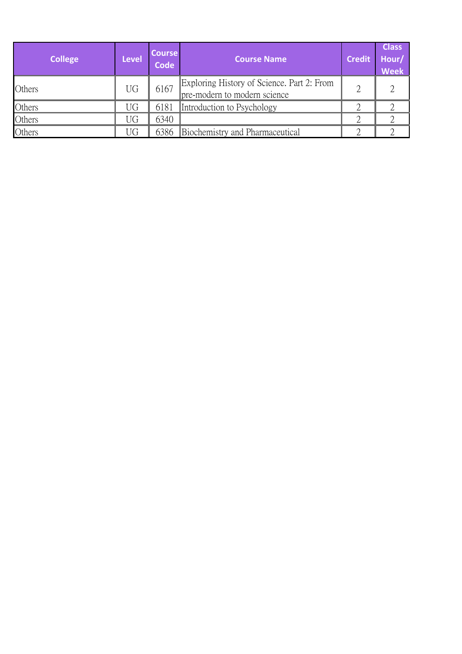| <b>College</b> | <b>Level</b> | <b>Course</b><br>Code | <b>Course Name</b>                                                         | <b>Credit</b> | <b>Class</b><br>Hour/<br><b>Week</b> |
|----------------|--------------|-----------------------|----------------------------------------------------------------------------|---------------|--------------------------------------|
| Others         | UG           | 6167                  | Exploring History of Science. Part 2: From<br>pre-modern to modern science |               |                                      |
| Others         | UG           | 6181                  | Introduction to Psychology                                                 |               |                                      |
| Others         | JG           | 6340                  |                                                                            |               |                                      |
| Others         | IG           | 6386                  | Biochemistry and Pharmaceutical                                            |               |                                      |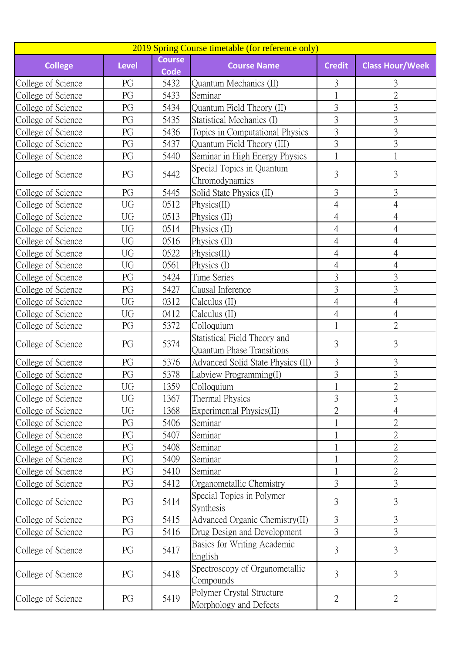| 2019 Spring Course timetable (for reference only) |                                 |               |                                                                  |                |                        |  |  |
|---------------------------------------------------|---------------------------------|---------------|------------------------------------------------------------------|----------------|------------------------|--|--|
| <b>College</b>                                    | <b>Level</b>                    | <b>Course</b> | <b>Course Name</b>                                               | <b>Credit</b>  | <b>Class Hour/Week</b> |  |  |
|                                                   |                                 | <b>Code</b>   |                                                                  |                |                        |  |  |
| College of Science                                | PG                              | 5432          | Quantum Mechanics (II)                                           | 3              | 3                      |  |  |
| College of Science                                | PG                              | 5433          | Seminar                                                          |                | $\overline{2}$         |  |  |
| College of Science                                | PG                              | 5434          | Quantum Field Theory (II)                                        | 3              | 3                      |  |  |
| College of Science                                | PG                              | 5435          | Statistical Mechanics (I)                                        | $\overline{3}$ | 3                      |  |  |
| College of Science                                | PG                              | 5436          | Topics in Computational Physics                                  | $\overline{3}$ | 3                      |  |  |
| College of Science                                | PG                              | 5437          | Quantum Field Theory (III)                                       | 3              | 3                      |  |  |
| College of Science                                | PG                              | 5440          | Seminar in High Energy Physics                                   | 1              |                        |  |  |
| College of Science                                | PG                              | 5442          | Special Topics in Quantum<br>Chromodynamics                      | 3              | 3                      |  |  |
| College of Science                                | PG                              | 5445          | Solid State Physics (II)                                         | 3              | 3                      |  |  |
| College of Science                                | <b>UG</b>                       | 0512          | Physics(II)                                                      | $\overline{4}$ | $\overline{4}$         |  |  |
| College of Science                                | <b>UG</b>                       | 0513          | Physics (II)                                                     | $\overline{4}$ | $\overline{4}$         |  |  |
| College of Science                                | UG                              | 0514          | Physics (II)                                                     | $\overline{4}$ | $\overline{4}$         |  |  |
| College of Science                                | <b>UG</b>                       | 0516          | Physics (II)                                                     | $\overline{4}$ | $\overline{4}$         |  |  |
| College of Science                                | UG                              | 0522          | Physics(II)                                                      | $\overline{4}$ | $\overline{4}$         |  |  |
| College of Science                                | <b>UG</b>                       | 0561          | Physics (I)                                                      | $\overline{4}$ | $\overline{4}$         |  |  |
| College of Science                                | PG                              | 5424          | Time Series                                                      | 3              | 3                      |  |  |
| College of Science                                | PG                              | 5427          | Causal Inference                                                 | 3              | 3                      |  |  |
| College of Science                                | <b>UG</b>                       | 0312          | Calculus (II)                                                    | $\overline{4}$ | $\overline{4}$         |  |  |
| College of Science                                | UG                              | 0412          | Calculus (II)                                                    | $\overline{4}$ | $\overline{4}$         |  |  |
| College of Science                                | PG                              | 5372          | Colloquium                                                       |                | $\overline{2}$         |  |  |
| College of Science                                | PG                              | 5374          | Statistical Field Theory and<br><b>Quantum Phase Transitions</b> | 3              | 3                      |  |  |
| College of Science                                | PG                              | 5376          | Advanced Solid State Physics (II)                                | 3              | 3                      |  |  |
| College of Science                                | PG                              | 5378          | Labview Programming(I)                                           | $\overline{3}$ | 3                      |  |  |
| College of Science                                | UG                              | 1359          | Colloquium                                                       |                | $\overline{2}$         |  |  |
| College of Science                                | <b>UG</b>                       | 1367          | Thermal Physics                                                  | 3              | 3                      |  |  |
| College of Science                                | UG                              | 1368          | Experimental Physics(II)                                         | $\overline{2}$ | 4                      |  |  |
| College of Science                                | PG                              | 5406          | Seminar                                                          |                | $\sqrt{2}$             |  |  |
| College of Science                                | PG                              | 5407          | Seminar                                                          |                | $\mathfrak{2}$         |  |  |
| College of Science                                | PG                              | 5408          | Seminar                                                          |                | $\overline{2}$         |  |  |
| College of Science                                | PG                              | 5409          | Seminar                                                          |                | $\overline{2}$         |  |  |
| College of Science                                | PG                              | 5410          | Seminar                                                          |                | $\overline{2}$         |  |  |
| College of Science                                | PG                              | 5412          | Organometallic Chemistry                                         | 3              | 3                      |  |  |
| College of Science                                | PG                              | 5414          | Special Topics in Polymer<br>Synthesis                           | 3              | 3                      |  |  |
| College of Science                                | $\mathop{\mathrm{PG}}\nolimits$ | 5415          | Advanced Organic Chemistry(II)                                   | 3              | 3                      |  |  |
| College of Science                                | PG                              | 5416          | Drug Design and Development                                      | $\overline{3}$ | 3                      |  |  |
| College of Science                                | PG                              | 5417          | Basics for Writing Academic<br>English                           | 3              | 3                      |  |  |
| College of Science                                | PG                              | 5418          | Spectroscopy of Organometallic<br>Compounds                      | 3              | 3                      |  |  |
| College of Science                                | PG                              | 5419          | Polymer Crystal Structure<br>Morphology and Defects              | $\overline{2}$ | $\overline{2}$         |  |  |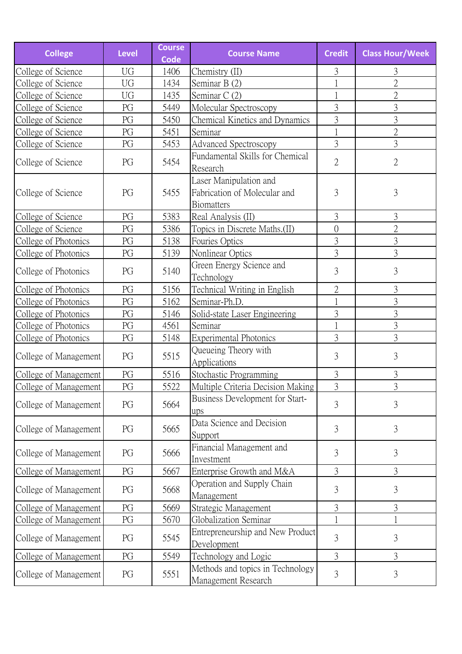| <b>College</b>        | <b>Level</b> | <b>Course</b><br><b>Code</b> | <b>Course Name</b>                                                          | <b>Credit</b>  | <b>Class Hour/Week</b> |
|-----------------------|--------------|------------------------------|-----------------------------------------------------------------------------|----------------|------------------------|
| College of Science    | UG           | 1406                         | Chemistry (II)                                                              | 3              | 3                      |
| College of Science    | <b>UG</b>    | 1434                         | Seminar B (2)                                                               |                | $\overline{2}$         |
| College of Science    | UG           | 1435                         | Seminar C(2)                                                                |                | $\overline{2}$         |
| College of Science    | PG           | 5449                         | Molecular Spectroscopy                                                      | $\overline{3}$ | 3                      |
| College of Science    | PG           | 5450                         | Chemical Kinetics and Dynamics                                              | $\overline{3}$ | 3                      |
| College of Science    | PG           | 5451                         | Seminar                                                                     |                | $\overline{2}$         |
| College of Science    | PG           | 5453                         | Advanced Spectroscopy                                                       | $\overline{3}$ | 3                      |
| College of Science    | PG           | 5454                         | Fundamental Skills for Chemical<br>Research                                 | $\overline{2}$ | $\overline{2}$         |
| College of Science    | PG           | 5455                         | Laser Manipulation and<br>Fabrication of Molecular and<br><b>Biomatters</b> | 3              | 3                      |
| College of Science    | PG           | 5383                         | Real Analysis (II)                                                          | 3              | 3                      |
| College of Science    | PG           | 5386                         | Topics in Discrete Maths.(II)                                               | $\overline{0}$ | $\overline{2}$         |
| College of Photonics  | PG           | 5138                         | Fouries Optics                                                              | $\overline{3}$ | 3                      |
| College of Photonics  | PG           | 5139                         | Nonlinear Optics                                                            | $\overline{3}$ | 3                      |
| College of Photonics  | PG           | 5140                         | Green Energy Science and<br>Technology                                      | 3              | 3                      |
| College of Photonics  | PG           | 5156                         | Technical Writing in English                                                | $\sqrt{2}$     | 3                      |
| College of Photonics  | PG           | 5162                         | Seminar-Ph.D.                                                               |                | 3                      |
| College of Photonics  | PG           | 5146                         | Solid-state Laser Engineering                                               | 3              | 3                      |
| College of Photonics  | PG           | 4561                         | Seminar                                                                     |                | 3                      |
| College of Photonics  | PG           | 5148                         | <b>Experimental Photonics</b>                                               | $\overline{3}$ | 3                      |
| College of Management | PG           | 5515                         | Queueing Theory with<br>Applications                                        | 3              | 3                      |
| College of Management | PG           | 5516                         | Stochastic Programming                                                      | 3              | 3                      |
| College of Management | PG           | 5522                         | Multiple Criteria Decision Making                                           | 3              | 3                      |
| College of Management | PG           | 5664                         | Business Development for Start-<br>ups                                      | 3              | 3                      |
| College of Management | PG           | 5665                         | Data Science and Decision<br>Support                                        | 3              | 3                      |
| College of Management | PG           | 5666                         | Financial Management and<br>Investment                                      | 3              | 3                      |
| College of Management | PG           | 5667                         | Enterprise Growth and M&A                                                   | $\overline{3}$ | 3                      |
| College of Management | PG           | 5668                         | Operation and Supply Chain<br>Management                                    | 3              | 3                      |
| College of Management | PG           | 5669                         | Strategic Management                                                        | $\mathfrak{Z}$ | 3                      |
| College of Management | PG           | 5670                         | Globalization Seminar                                                       | 1              |                        |
| College of Management | PG           | 5545                         | Entrepreneurship and New Product<br>Development                             | 3              | 3                      |
| College of Management | PG           | 5549                         | Technology and Logic                                                        | $\overline{3}$ | 3                      |
| College of Management | PG           | 5551                         | Methods and topics in Technology<br>Management Research                     | $\mathfrak{Z}$ | 3                      |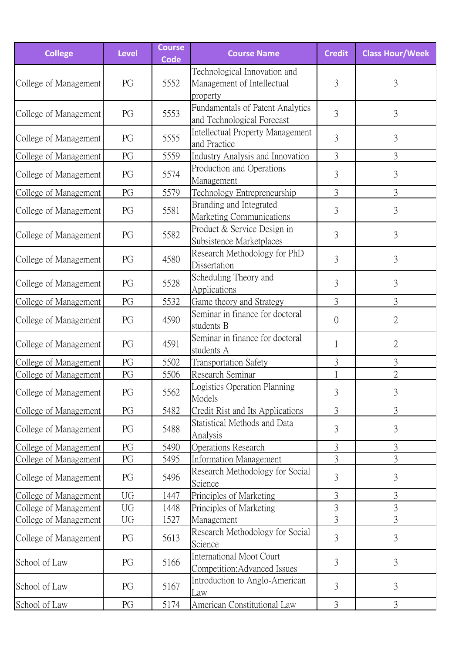| <b>College</b>        | <b>Level</b>                    | <b>Course</b><br><b>Code</b> | <b>Course Name</b>                                                     | <b>Credit</b>  | <b>Class Hour/Week</b> |
|-----------------------|---------------------------------|------------------------------|------------------------------------------------------------------------|----------------|------------------------|
| College of Management | PG                              | 5552                         | Technological Innovation and<br>Management of Intellectual<br>property | 3              | 3                      |
| College of Management | PG                              | 5553                         | Fundamentals of Patent Analytics<br>and Technological Forecast         | 3              | 3                      |
| College of Management | PG                              | 5555                         | Intellectual Property Management<br>and Practice                       | 3              | 3                      |
| College of Management | PG                              | 5559                         | Industry Analysis and Innovation                                       | 3              | 3                      |
| College of Management | PG                              | 5574                         | Production and Operations<br>Management                                | 3              | 3                      |
| College of Management | PG                              | 5579                         | Technology Entrepreneurship                                            | 3              | 3                      |
| College of Management | PG                              | 5581                         | Branding and Integrated<br>Marketing Communications                    | $\overline{3}$ | 3                      |
| College of Management | PG                              | 5582                         | Product & Service Design in<br>Subsistence Marketplaces                | 3              | 3                      |
| College of Management | PG                              | 4580                         | Research Methodology for PhD<br>Dissertation                           | 3              | 3                      |
| College of Management | PG                              | 5528                         | Scheduling Theory and<br>Applications                                  | 3              | 3                      |
| College of Management | PG                              | 5532                         | Game theory and Strategy                                               | 3              | 3                      |
| College of Management | PG                              | 4590                         | Seminar in finance for doctoral<br>students B                          | $\overline{0}$ | $\overline{2}$         |
| College of Management | PG                              | 4591                         | Seminar in finance for doctoral<br>students A                          | $\mathbf{1}$   | $\overline{2}$         |
| College of Management | PG                              | 5502                         | <b>Transportation Safety</b>                                           | $\overline{3}$ | 3                      |
| College of Management | PG                              | 5506                         | Research Seminar                                                       |                | $\overline{2}$         |
| College of Management | $\mathop{\mathrm{PG}}\nolimits$ | 5562                         | Logistics Operation Planning<br>Models                                 | 3              | 3                      |
| College of Management | PG                              | 5482                         | Credit Rist and Its Applications                                       | $\overline{3}$ | 3                      |
| College of Management | PG                              | 5488                         | Statistical Methods and Data<br>Analysis                               | 3              | 3                      |
| College of Management | PG                              | 5490                         | <b>Operations Research</b>                                             | 3              | 3                      |
| College of Management | PG                              | 5495                         | Information Management                                                 | $\overline{3}$ | 3                      |
| College of Management | PG                              | 5496                         | Research Methodology for Social<br>Science                             | 3              | 3                      |
| College of Management | <b>UG</b>                       | 1447                         | Principles of Marketing                                                | 3              | 3                      |
| College of Management | UG                              | 1448                         | Principles of Marketing                                                | 3              | 3                      |
| College of Management | UG                              | 1527                         | Management                                                             | $\overline{3}$ | 3                      |
| College of Management | PG                              | 5613                         | Research Methodology for Social<br>Science                             | 3              | 3                      |
| School of Law         | PG                              | 5166                         | International Moot Court<br>Competition: Advanced Issues               | $\overline{3}$ | 3                      |
| School of Law         | PG                              | 5167                         | Introduction to Anglo-American<br>Law                                  | 3              | 3                      |
| School of Law         | PG                              | 5174                         | American Constitutional Law                                            | $\mathfrak{Z}$ | 3                      |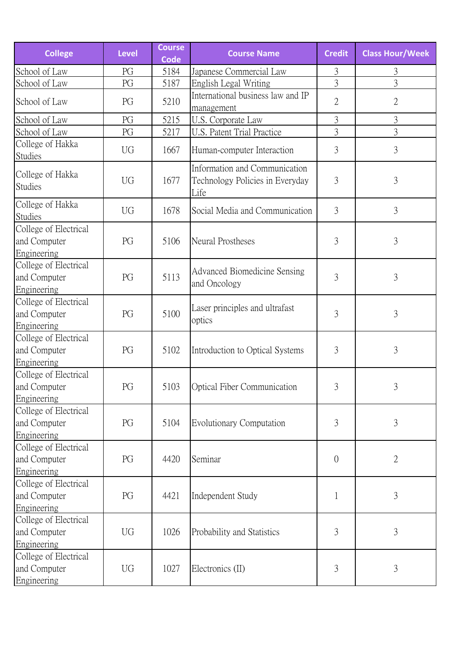| <b>College</b>                                       | <b>Level</b> | <b>Course</b><br><b>Code</b> | <b>Course Name</b>                                                       | <b>Credit</b>  | <b>Class Hour/Week</b> |
|------------------------------------------------------|--------------|------------------------------|--------------------------------------------------------------------------|----------------|------------------------|
| School of Law                                        | PG           | 5184                         | Japanese Commercial Law                                                  | 3              | 3                      |
| School of Law                                        | PG           | 5187                         | English Legal Writing                                                    | $\overline{3}$ | 3                      |
| School of Law                                        | PG           | 5210                         | International business law and IP<br>management                          | $\overline{2}$ | $\overline{2}$         |
| School of Law                                        | PG           | 5215                         | U.S. Corporate Law                                                       | 3              | 3                      |
| School of Law                                        | PG           | 5217                         | <b>U.S. Patent Trial Practice</b>                                        | $\overline{3}$ | 3                      |
| College of Hakka<br>Studies                          | UG           | 1667                         | Human-computer Interaction                                               | 3              | 3                      |
| College of Hakka<br><b>Studies</b>                   | UG           | 1677                         | Information and Communication<br>Technology Policies in Everyday<br>Life | 3              | 3                      |
| College of Hakka<br><b>Studies</b>                   | UG           | 1678                         | Social Media and Communication                                           | 3              | 3                      |
| College of Electrical<br>and Computer<br>Engineering | PG           | 5106                         | <b>Neural Prostheses</b>                                                 | 3              | 3                      |
| College of Electrical<br>and Computer<br>Engineering | PG           | 5113                         | Advanced Biomedicine Sensing<br>and Oncology                             | 3              | 3                      |
| College of Electrical<br>and Computer<br>Engineering | PG           | 5100                         | Laser principles and ultrafast<br>optics                                 | 3              | 3                      |
| College of Electrical<br>and Computer<br>Engineering | PG           | 5102                         | Introduction to Optical Systems                                          | 3              | 3                      |
| College of Electrical<br>and Computer<br>Engineering | PG           | 5103                         | Optical Fiber Communication                                              | $\mathfrak{Z}$ | 3                      |
| College of Electrical<br>and Computer<br>Engineering | PG           | 5104                         | <b>Evolutionary Computation</b>                                          | 3              | 3                      |
| College of Electrical<br>and Computer<br>Engineering | PG           | 4420                         | Seminar                                                                  | $\overline{0}$ | $\mathfrak{2}$         |
| College of Electrical<br>and Computer<br>Engineering | PG           | 4421                         | Independent Study                                                        | 1              | 3                      |
| College of Electrical<br>and Computer<br>Engineering | UG           | 1026                         | Probability and Statistics                                               | 3              | 3                      |
| College of Electrical<br>and Computer<br>Engineering | UG           | 1027                         | Electronics (II)                                                         | 3              | 3                      |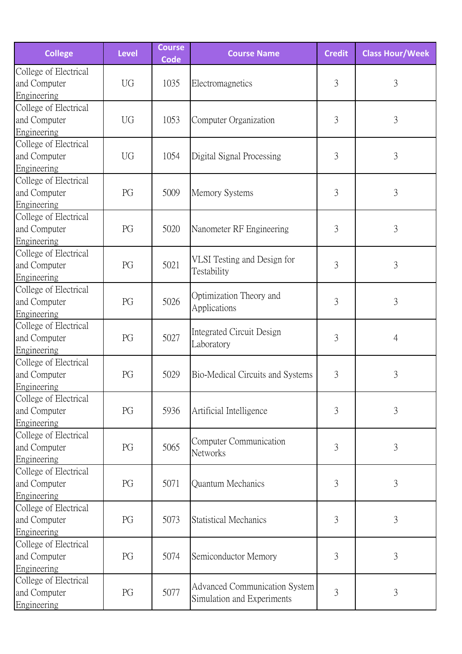| <b>College</b>                                       | <b>Level</b> | <b>Course</b><br><b>Code</b> | <b>Course Name</b>                                          | <b>Credit</b> | <b>Class Hour/Week</b> |
|------------------------------------------------------|--------------|------------------------------|-------------------------------------------------------------|---------------|------------------------|
| College of Electrical<br>and Computer<br>Engineering | UG           | 1035                         | Electromagnetics                                            | 3             | 3                      |
| College of Electrical<br>and Computer<br>Engineering | UG           | 1053                         | Computer Organization                                       | 3             | 3                      |
| College of Electrical<br>and Computer<br>Engineering | UG           | 1054                         | Digital Signal Processing                                   | 3             | 3                      |
| College of Electrical<br>and Computer<br>Engineering | PG           | 5009                         | Memory Systems                                              | 3             | 3                      |
| College of Electrical<br>and Computer<br>Engineering | PG           | 5020                         | Nanometer RF Engineering                                    | 3             | 3                      |
| College of Electrical<br>and Computer<br>Engineering | PG           | 5021                         | VLSI Testing and Design for<br>Testability                  | 3             | 3                      |
| College of Electrical<br>and Computer<br>Engineering | PG           | 5026                         | Optimization Theory and<br>Applications                     | 3             | 3                      |
| College of Electrical<br>and Computer<br>Engineering | PG           | 5027                         | Integrated Circuit Design<br>Laboratory                     | 3             | $\overline{4}$         |
| College of Electrical<br>and Computer<br>Engineering | PG           | 5029                         | Bio-Medical Circuits and Systems                            | 3             | 3                      |
| College of Electrical<br>and Computer<br>Engineering | PG           | 5936                         | Artificial Intelligence                                     | 3             | 3                      |
| College of Electrical<br>and Computer<br>Engineering | PG           | 5065                         | Computer Communication<br>Networks                          | 3             | 3                      |
| College of Electrical<br>and Computer<br>Engineering | PG           | 5071                         | Quantum Mechanics                                           | 3             | 3                      |
| College of Electrical<br>and Computer<br>Engineering | PG           | 5073                         | <b>Statistical Mechanics</b>                                | 3             | 3                      |
| College of Electrical<br>and Computer<br>Engineering | PG           | 5074                         | Semiconductor Memory                                        | 3             | 3                      |
| College of Electrical<br>and Computer<br>Engineering | PG           | 5077                         | Advanced Communication System<br>Simulation and Experiments | 3             | 3                      |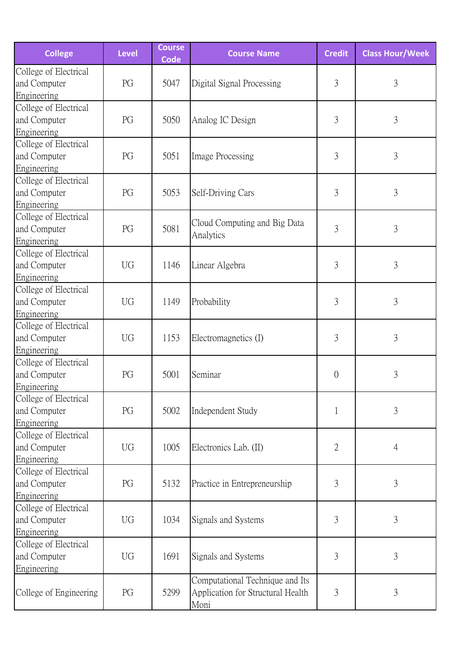| <b>College</b>                                       | <b>Level</b> | <b>Course</b><br><b>Code</b> | <b>Course Name</b>                                                           | <b>Credit</b>  | <b>Class Hour/Week</b> |
|------------------------------------------------------|--------------|------------------------------|------------------------------------------------------------------------------|----------------|------------------------|
| College of Electrical<br>and Computer<br>Engineering | PG           | 5047                         | Digital Signal Processing                                                    | 3              | 3                      |
| College of Electrical<br>and Computer<br>Engineering | PG           | 5050                         | Analog IC Design                                                             | 3              | 3                      |
| College of Electrical<br>and Computer<br>Engineering | PG           | 5051                         | Image Processing                                                             | 3              | 3                      |
| College of Electrical<br>and Computer<br>Engineering | PG           | 5053                         | Self-Driving Cars                                                            | 3              | 3                      |
| College of Electrical<br>and Computer<br>Engineering | PG           | 5081                         | Cloud Computing and Big Data<br>Analytics                                    | 3              | 3                      |
| College of Electrical<br>and Computer<br>Engineering | <b>UG</b>    | 1146                         | Linear Algebra                                                               | 3              | 3                      |
| College of Electrical<br>and Computer<br>Engineering | UG           | 1149                         | Probability                                                                  | 3              | 3                      |
| College of Electrical<br>and Computer<br>Engineering | UG           | 1153                         | Electromagnetics (I)                                                         | 3              | 3                      |
| College of Electrical<br>and Computer<br>Engineering | PG           | 5001                         | Seminar                                                                      | $\overline{0}$ | 3                      |
| College of Electrical<br>and Computer<br>Engineering | PG           | 5002                         | Independent Study                                                            | 1              | 3                      |
| College of Electrical<br>and Computer<br>Engineering | UG           | 1005                         | Electronics Lab. (II)                                                        | $\mathbf{2}$   | $\overline{4}$         |
| College of Electrical<br>and Computer<br>Engineering | PG           | 5132                         | Practice in Entrepreneurship                                                 | 3              | 3                      |
| College of Electrical<br>and Computer<br>Engineering | UG           | 1034                         | Signals and Systems                                                          | 3              | 3                      |
| College of Electrical<br>and Computer<br>Engineering | UG           | 1691                         | Signals and Systems                                                          | 3              | 3                      |
| College of Engineering                               | PG           | 5299                         | Computational Technique and Its<br>Application for Structural Health<br>Moni | 3              | 3                      |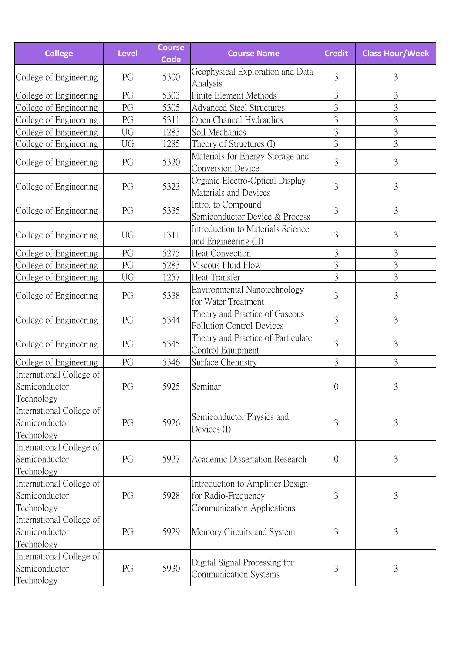| <b>College</b>                                          | <b>Level</b> | <b>Course</b><br><b>Code</b> | <b>Course Name</b>                                                                    | <b>Credit</b>  | <b>Class Hour/Week</b> |
|---------------------------------------------------------|--------------|------------------------------|---------------------------------------------------------------------------------------|----------------|------------------------|
| College of Engineering                                  | PG           | 5300                         | Geophysical Exploration and Data<br>Analysis                                          | $\overline{3}$ | 3                      |
| College of Engineering                                  | PG           | 5303                         | Finite Element Methods                                                                | 3              | 3                      |
| College of Engineering                                  | PG           | 5305                         | <b>Advanced Steel Structures</b>                                                      | 3              | 3                      |
| College of Engineering                                  | PG           | 5311                         | Open Channel Hydraulics                                                               | 3              | 3                      |
| College of Engineering                                  | UG           | 1283                         | Soil Mechanics                                                                        | 3              | 3                      |
| College of Engineering                                  | UG           | 1285                         | Theory of Structures (I)                                                              | 3              | 3                      |
| College of Engineering                                  | PG           | 5320                         | Materials for Energy Storage and<br><b>Conversion Device</b>                          | 3              | 3                      |
| College of Engineering                                  | PG           | 5323                         | Organic Electro-Optical Display<br>Materials and Devices                              | 3              | 3                      |
| College of Engineering                                  | PG           | 5335                         | Intro. to Compound<br>Semiconductor Device & Process                                  | 3              | 3                      |
| College of Engineering                                  | UG           | 1311                         | Introduction to Materials Science<br>and Engineering (II)                             | 3              | 3                      |
| College of Engineering                                  | PG           | 5275                         | <b>Heat Convection</b>                                                                | 3              | 3                      |
| College of Engineering                                  | PG           | 5283                         | Viscous Fluid Flow                                                                    | 3              | 3                      |
| College of Engineering                                  | UG           | 1257                         | Heat Transfer                                                                         | $\overline{3}$ | 3                      |
| College of Engineering                                  | PG           | 5338                         | Environmental Nanotechnology<br>for Water Treatment                                   | 3              | 3                      |
| College of Engineering                                  | PG           | 5344                         | Theory and Practice of Gaseous<br>Pollution Control Devices                           | $\overline{3}$ | 3                      |
| College of Engineering                                  | PG           | 5345                         | Theory and Practice of Particulate<br>Control Equipment                               | $\overline{3}$ | 3                      |
| College of Engineering                                  | PG           | 5346                         | Surface Chemistry                                                                     | $\overline{3}$ | $\mathfrak{Z}$         |
| International College of<br>Semiconductor<br>Technology | PG           | 5925                         | Seminar                                                                               | $\overline{0}$ | 3                      |
| International College of<br>Semiconductor<br>Technology | PG           | 5926                         | Semiconductor Physics and<br>Devices (I)                                              | 3              | 3                      |
| International College of<br>Semiconductor<br>Technology | PG           | 5927                         | Academic Dissertation Research                                                        | $\overline{0}$ | 3                      |
| International College of<br>Semiconductor<br>Technology | PG           | 5928                         | Introduction to Amplifier Design<br>for Radio-Frequency<br>Communication Applications | 3              | 3                      |
| International College of<br>Semiconductor<br>Technology | PG           | 5929                         | Memory Circuits and System                                                            | 3              | 3                      |
| International College of<br>Semiconductor<br>Technology | PG           | 5930                         | Digital Signal Processing for<br>Communication Systems                                | 3              | 3                      |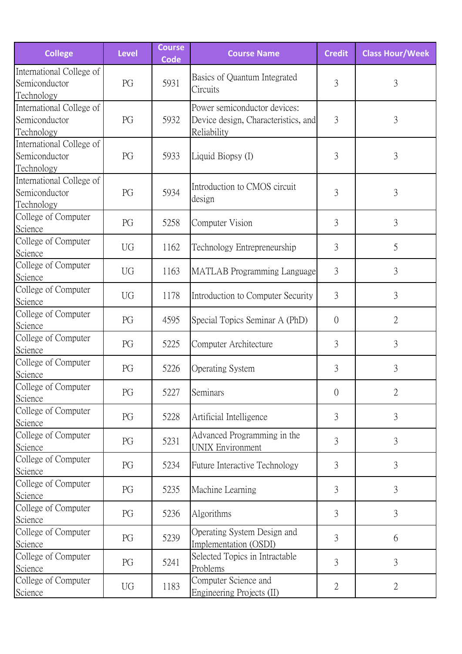| <b>College</b>                                          | <b>Level</b>                    | <b>Course</b><br><b>Code</b> | <b>Course Name</b>                                                                 | <b>Credit</b>  | <b>Class Hour/Week</b> |
|---------------------------------------------------------|---------------------------------|------------------------------|------------------------------------------------------------------------------------|----------------|------------------------|
| International College of<br>Semiconductor<br>Technology | PG                              | 5931                         | Basics of Quantum Integrated<br>Circuits                                           | 3              | 3                      |
| International College of<br>Semiconductor<br>Technology | PG                              | 5932                         | Power semiconductor devices:<br>Device design, Characteristics, and<br>Reliability | 3              | 3                      |
| International College of<br>Semiconductor<br>Technology | PG                              | 5933                         | Liquid Biopsy (I)                                                                  | 3              | 3                      |
| International College of<br>Semiconductor<br>Technology | PG                              | 5934                         | Introduction to CMOS circuit<br>design                                             | 3              | 3                      |
| College of Computer<br>Science                          | PG                              | 5258                         | Computer Vision                                                                    | $\overline{3}$ | 3                      |
| College of Computer<br>Science                          | <b>UG</b>                       | 1162                         | Technology Entrepreneurship                                                        | $\overline{3}$ | 5                      |
| College of Computer<br>Science                          | UG                              | 1163                         | MATLAB Programming Language                                                        | 3              | 3                      |
| College of Computer<br>Science                          | UG                              | 1178                         | Introduction to Computer Security                                                  | 3              | 3                      |
| College of Computer<br>Science                          | PG                              | 4595                         | Special Topics Seminar A (PhD)                                                     | $\overline{0}$ | $\overline{2}$         |
| College of Computer<br>Science                          | PG                              | 5225                         | Computer Architecture                                                              | 3              | 3                      |
| College of Computer<br>Science                          | PG                              | 5226                         | Operating System                                                                   | $\overline{3}$ | 3                      |
| College of Computer<br>Science                          | $\mathop{\mathrm{PG}}\nolimits$ | 5227                         | Seminars                                                                           | $\overline{0}$ |                        |
| College of Computer<br>Science                          | PG                              | 5228                         | Artificial Intelligence                                                            | $\overline{3}$ | 3                      |
| College of Computer<br>Science                          | PG                              | 5231                         | Advanced Programming in the<br><b>UNIX Environment</b>                             | $\mathfrak{Z}$ | 3                      |
| College of Computer<br>Science                          | PG                              | 5234                         | Future Interactive Technology                                                      | $\mathfrak{Z}$ | 3                      |
| College of Computer<br>Science                          | PG                              | 5235                         | Machine Learning                                                                   | 3              | 3                      |
| College of Computer<br>Science                          | PG                              | 5236                         | Algorithms                                                                         | 3              | 3                      |
| College of Computer<br>Science                          | PG                              | 5239                         | Operating System Design and<br>Implementation (OSDI)                               | 3              | 6                      |
| College of Computer<br>Science                          | PG                              | 5241                         | Selected Topics in Intractable<br>Problems                                         | $\mathfrak{Z}$ | 3                      |
| College of Computer<br>Science                          | UG                              | 1183                         | Computer Science and<br>Engineering Projects (II)                                  | $\overline{2}$ | $\mathbf{2}$           |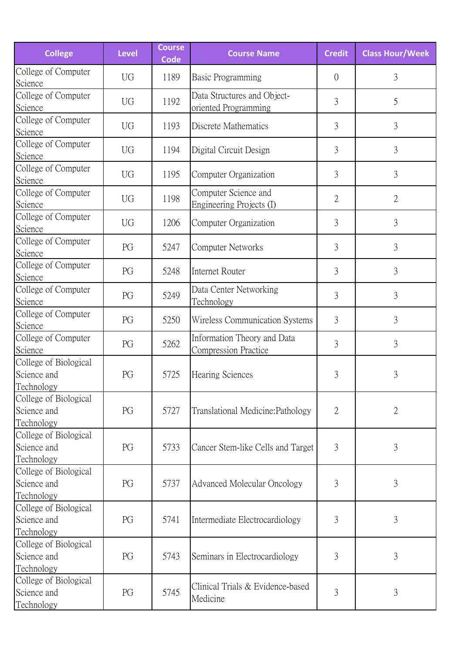| <b>College</b>                                            | <b>Level</b> | <b>Course</b><br><b>Code</b> | <b>Course Name</b>                                         | <b>Credit</b>  | <b>Class Hour/Week</b> |
|-----------------------------------------------------------|--------------|------------------------------|------------------------------------------------------------|----------------|------------------------|
| College of Computer<br>Science                            | UG           | 1189                         | Basic Programming                                          | $\overline{0}$ | 3                      |
| College of Computer<br>Science                            | UG           | 1192                         | Data Structures and Object-<br>oriented Programming        | $\mathfrak{Z}$ | 5                      |
| College of Computer<br>Science                            | UG           | 1193                         | Discrete Mathematics                                       | 3              | 3                      |
| College of Computer<br>Science                            | UG           | 1194                         | Digital Circuit Design                                     | 3              | 3                      |
| College of Computer<br>Science                            | UG           | 1195                         | Computer Organization                                      | 3              | 3                      |
| College of Computer<br>Science                            | <b>UG</b>    | 1198                         | Computer Science and<br>Engineering Projects (I)           | 2              | 2                      |
| College of Computer<br>Science                            | <b>UG</b>    | 1206                         | Computer Organization                                      | $\overline{3}$ | 3                      |
| College of Computer<br>Science                            | PG           | 5247                         | <b>Computer Networks</b>                                   | 3              | 3                      |
| College of Computer<br>Science                            | PG           | 5248                         | Internet Router                                            | 3              | 3                      |
| College of Computer<br>Science                            | PG           | 5249                         | Data Center Networking<br>Technology                       | 3              | 3                      |
| College of Computer<br>Science                            | PG           | 5250                         | Wireless Communication Systems                             | 3              | 3                      |
| College of Computer<br>Science                            | PG           | 5262                         | Information Theory and Data<br><b>Compression Practice</b> | $\overline{3}$ | 3                      |
| College of Biological<br>Science and<br>Technology        | PG           | 5725                         | Hearing Sciences                                           | 3              | 3                      |
| College of Biological<br>Science and<br>Technology        | PG           | 5727                         | Translational Medicine: Pathology                          | 2              | $\overline{2}$         |
| College of Biological<br>Science and<br>Technology        | PG           | 5733                         | Cancer Stem-like Cells and Target                          | 3              | 3                      |
| College of Biological<br>Science and<br>Technology        | PG           | 5737                         | <b>Advanced Molecular Oncology</b>                         | 3              | 3                      |
| College of Biological<br>Science and<br>Technology        | PG           | 5741                         | Intermediate Electrocardiology                             | 3              | 3                      |
| College of Biological<br>Science and<br>Technology        | PG           | 5743                         | Seminars in Electrocardiology                              | 3              | $\mathfrak{Z}$         |
| College of Biological<br>Science and<br><b>Technology</b> | PG           | 5745                         | Clinical Trials & Evidence-based<br>Medicine               | 3              | 3                      |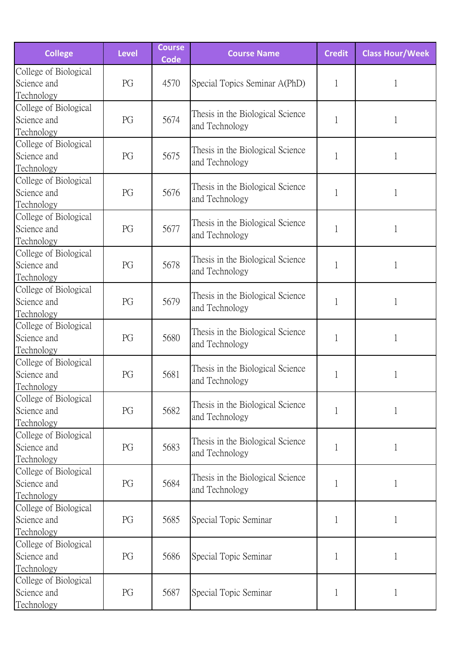| <b>College</b>                                     | <b>Level</b> | <b>Course</b><br><b>Code</b> | <b>Course Name</b>                                 | <b>Credit</b> | <b>Class Hour/Week</b> |
|----------------------------------------------------|--------------|------------------------------|----------------------------------------------------|---------------|------------------------|
| College of Biological<br>Science and<br>Technology | PG           | 4570                         | Special Topics Seminar A(PhD)                      | 1             | 1                      |
| College of Biological<br>Science and<br>Technology | PG           | 5674                         | Thesis in the Biological Science<br>and Technology | 1             | 1                      |
| College of Biological<br>Science and<br>Technology | PG           | 5675                         | Thesis in the Biological Science<br>and Technology | 1             | 1                      |
| College of Biological<br>Science and<br>Technology | PG           | 5676                         | Thesis in the Biological Science<br>and Technology |               | 1                      |
| College of Biological<br>Science and<br>Technology | PG           | 5677                         | Thesis in the Biological Science<br>and Technology |               | 1                      |
| College of Biological<br>Science and<br>Technology | PG           | 5678                         | Thesis in the Biological Science<br>and Technology | 1             | 1                      |
| College of Biological<br>Science and<br>Technology | PG           | 5679                         | Thesis in the Biological Science<br>and Technology | 1             | 1                      |
| College of Biological<br>Science and<br>Technology | PG           | 5680                         | Thesis in the Biological Science<br>and Technology | 1             | 1                      |
| College of Biological<br>Science and<br>Technology | PG           | 5681                         | Thesis in the Biological Science<br>and Technology | 1             | 1                      |
| College of Biological<br>Science and<br>Technology | PG           | 5682                         | Thesis in the Biological Science<br>and Technology | 1             | 1                      |
| College of Biological<br>Science and<br>Technology | PG           | 5683                         | Thesis in the Biological Science<br>and Technology | 1             | $\mathbf{1}$           |
| College of Biological<br>Science and<br>Technology | PG           | 5684                         | Thesis in the Biological Science<br>and Technology | $\mathbf{1}$  | $\mathbf{1}$           |
| College of Biological<br>Science and<br>Technology | PG           | 5685                         | Special Topic Seminar                              | 1             | $\mathbf{1}$           |
| College of Biological<br>Science and<br>Technology | PG           | 5686                         | Special Topic Seminar                              | 1             | 1                      |
| College of Biological<br>Science and<br>Technology | PG           | 5687                         | Special Topic Seminar                              | 1             | $\mathbf{1}$           |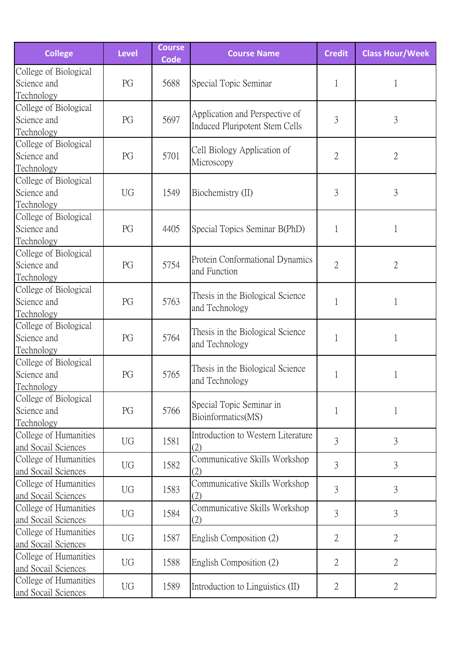| <b>College</b>                                     | <b>Level</b> | <b>Course</b><br><b>Code</b> | <b>Course Name</b>                                                      | <b>Credit</b>  | <b>Class Hour/Week</b> |
|----------------------------------------------------|--------------|------------------------------|-------------------------------------------------------------------------|----------------|------------------------|
| College of Biological<br>Science and<br>Technology | PG           | 5688                         | Special Topic Seminar                                                   | 1              | $\mathbf{1}$           |
| College of Biological<br>Science and<br>Technology | PG           | 5697                         | Application and Perspective of<br><b>Induced Pluripotent Stem Cells</b> | 3              | 3                      |
| College of Biological<br>Science and<br>Technology | PG           | 5701                         | Cell Biology Application of<br>Microscopy                               | $\overline{2}$ | $\overline{2}$         |
| College of Biological<br>Science and<br>Technology | <b>UG</b>    | 1549                         | Biochemistry (II)                                                       | 3              | 3                      |
| College of Biological<br>Science and<br>Technology | PG           | 4405                         | Special Topics Seminar B(PhD)                                           | 1              | $\mathbf{1}$           |
| College of Biological<br>Science and<br>Technology | PG           | 5754                         | Protein Conformational Dynamics<br>and Function                         | $\overline{2}$ | $\overline{2}$         |
| College of Biological<br>Science and<br>Technology | PG           | 5763                         | Thesis in the Biological Science<br>and Technology                      | $\mathbf{1}$   | $\mathbf{1}$           |
| College of Biological<br>Science and<br>Technology | PG           | 5764                         | Thesis in the Biological Science<br>and Technology                      | $\mathbf{1}$   | $\mathbf{1}$           |
| College of Biological<br>Science and<br>Technology | PG           | 5765                         | Thesis in the Biological Science<br>and Technology                      | $\mathbf{1}$   | 1                      |
| College of Biological<br>Science and<br>Technology | PG           | 5766                         | Special Topic Seminar in<br>Bioinformatics(MS)                          | $\mathbf{1}$   | $\mathbf{1}$           |
| College of Humanities<br>and Socail Sciences       | <b>UG</b>    | 1581                         | Introduction to Western Literature<br>(2)                               | $\overline{3}$ | 3                      |
| College of Humanities<br>and Socail Sciences       | UG           | 1582                         | Communicative Skills Workshop<br>(2)                                    | 3              | 3                      |
| College of Humanities<br>and Socail Sciences       | UG           | 1583                         | Communicative Skills Workshop<br>(2)                                    | 3              | 3                      |
| College of Humanities<br>and Socail Sciences       | UG           | 1584                         | Communicative Skills Workshop<br>(2)                                    | $\overline{3}$ | 3                      |
| College of Humanities<br>and Socail Sciences       | UG           | 1587                         | English Composition (2)                                                 | $\overline{2}$ | $\overline{2}$         |
| College of Humanities<br>and Socail Sciences       | UG           | 1588                         | English Composition (2)                                                 | $\overline{2}$ | $\overline{2}$         |
| College of Humanities<br>and Socail Sciences       | UG           | 1589                         | Introduction to Linguistics (II)                                        | $\overline{2}$ | $\overline{2}$         |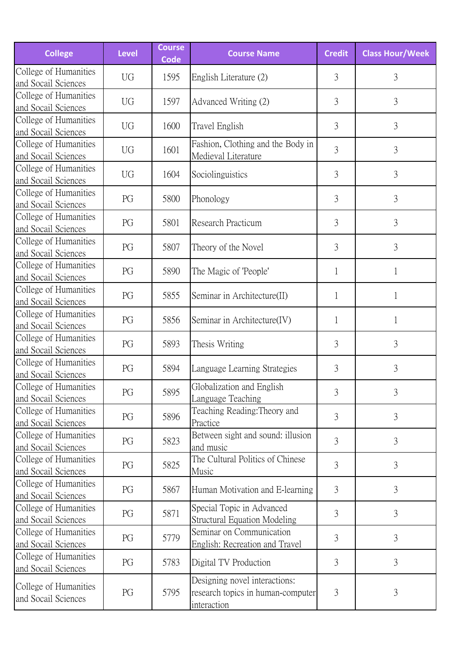| <b>College</b>                               | <b>Level</b> | <b>Course</b><br><b>Code</b> | <b>Course Name</b>                                                                | <b>Credit</b>  | <b>Class Hour/Week</b> |
|----------------------------------------------|--------------|------------------------------|-----------------------------------------------------------------------------------|----------------|------------------------|
| College of Humanities<br>and Socail Sciences | UG           | 1595                         | English Literature (2)                                                            | 3              | 3                      |
| College of Humanities<br>and Socail Sciences | UG           | 1597                         | Advanced Writing (2)                                                              | 3              | 3                      |
| College of Humanities<br>and Socail Sciences | UG           | 1600                         | Travel English                                                                    | 3              | 3                      |
| College of Humanities<br>and Socail Sciences | UG           | 1601                         | Fashion, Clothing and the Body in<br>Medieval Literature                          | $\overline{3}$ | 3                      |
| College of Humanities<br>and Socail Sciences | UG           | 1604                         | Sociolinguistics                                                                  | 3              | 3                      |
| College of Humanities<br>and Socail Sciences | PG           | 5800                         | Phonology                                                                         | 3              | 3                      |
| College of Humanities<br>and Socail Sciences | PG           | 5801                         | Research Practicum                                                                | 3              | 3                      |
| College of Humanities<br>and Socail Sciences | PG           | 5807                         | Theory of the Novel                                                               | 3              | 3                      |
| College of Humanities<br>and Socail Sciences | PG           | 5890                         | The Magic of 'People'                                                             | 1              | $\mathbf{1}$           |
| College of Humanities<br>and Socail Sciences | PG           | 5855                         | Seminar in Architecture(II)                                                       | 1              | 1                      |
| College of Humanities<br>and Socail Sciences | PG           | 5856                         | Seminar in Architecture(IV)                                                       | $\mathbf{1}$   | $\mathbf{1}$           |
| College of Humanities<br>and Socail Sciences | PG           | 5893                         | Thesis Writing                                                                    | 3              | 3                      |
| College of Humanities<br>and Socail Sciences | PG           | 5894                         | Language Learning Strategies                                                      | 3              | 3                      |
| College of Humanities<br>and Socail Sciences | PG           | 5895                         | Globalization and English<br>Language Teaching                                    | $\mathfrak{Z}$ | $\mathfrak{Z}$         |
| College of Humanities<br>and Socail Sciences | PG           | 5896                         | Teaching Reading: Theory and<br>Practice                                          | 3              | 3                      |
| College of Humanities<br>and Socail Sciences | PG           | 5823                         | Between sight and sound: illusion<br>and music                                    | $\mathfrak{Z}$ | 3                      |
| College of Humanities<br>and Socail Sciences | PG           | 5825                         | The Cultural Politics of Chinese<br>Music                                         | $\mathfrak{Z}$ | 3                      |
| College of Humanities<br>and Socail Sciences | PG           | 5867                         | Human Motivation and E-learning                                                   | $\overline{3}$ | 3                      |
| College of Humanities<br>and Socail Sciences | PG           | 5871                         | Special Topic in Advanced<br>Structural Equation Modeling                         | 3              | 3                      |
| College of Humanities<br>and Socail Sciences | PG           | 5779                         | Seminar on Communication<br>English: Recreation and Travel                        | 3              | 3                      |
| College of Humanities<br>and Socail Sciences | PG           | 5783                         | Digital TV Production                                                             | $\mathfrak{Z}$ | 3                      |
| College of Humanities<br>and Socail Sciences | PG           | 5795                         | Designing novel interactions:<br>research topics in human-computer<br>interaction | 3              | 3                      |